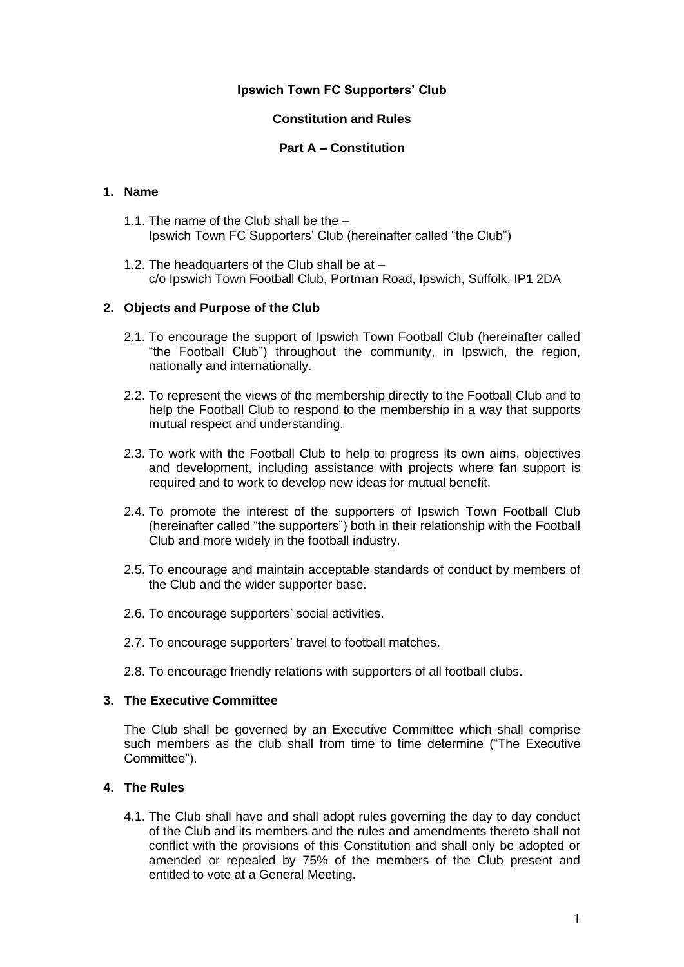## **Ipswich Town FC Supporters' Club**

## **Constitution and Rules**

## **Part A – Constitution**

# **1. Name**

- 1.1. The name of the Club shall be the Ipswich Town FC Supporters' Club (hereinafter called "the Club")
- 1.2. The headquarters of the Club shall be at c/o Ipswich Town Football Club, Portman Road, Ipswich, Suffolk, IP1 2DA

### **2. Objects and Purpose of the Club**

- 2.1. To encourage the support of Ipswich Town Football Club (hereinafter called "the Football Club") throughout the community, in Ipswich, the region, nationally and internationally.
- 2.2. To represent the views of the membership directly to the Football Club and to help the Football Club to respond to the membership in a way that supports mutual respect and understanding.
- 2.3. To work with the Football Club to help to progress its own aims, objectives and development, including assistance with projects where fan support is required and to work to develop new ideas for mutual benefit.
- 2.4. To promote the interest of the supporters of Ipswich Town Football Club (hereinafter called "the supporters") both in their relationship with the Football Club and more widely in the football industry.
- 2.5. To encourage and maintain acceptable standards of conduct by members of the Club and the wider supporter base.
- 2.6. To encourage supporters' social activities.
- 2.7. To encourage supporters' travel to football matches.
- 2.8. To encourage friendly relations with supporters of all football clubs.

#### **3. The Executive Committee**

The Club shall be governed by an Executive Committee which shall comprise such members as the club shall from time to time determine ("The Executive Committee").

#### **4. The Rules**

4.1. The Club shall have and shall adopt rules governing the day to day conduct of the Club and its members and the rules and amendments thereto shall not conflict with the provisions of this Constitution and shall only be adopted or amended or repealed by 75% of the members of the Club present and entitled to vote at a General Meeting.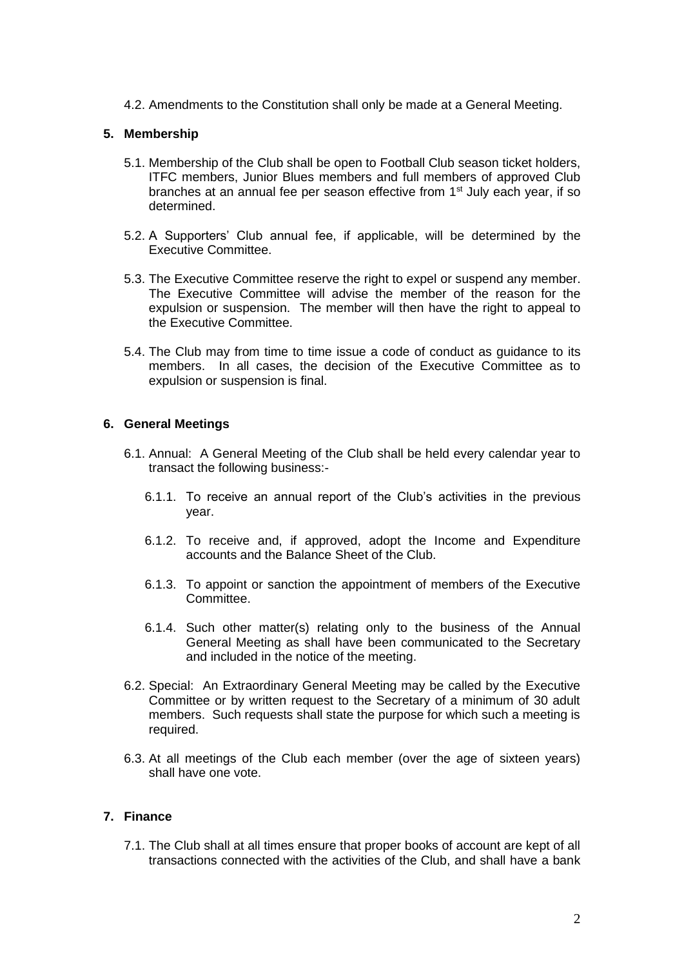4.2. Amendments to the Constitution shall only be made at a General Meeting.

## **5. Membership**

- 5.1. Membership of the Club shall be open to Football Club season ticket holders, ITFC members, Junior Blues members and full members of approved Club branches at an annual fee per season effective from 1<sup>st</sup> July each year, if so determined.
- 5.2. A Supporters' Club annual fee, if applicable, will be determined by the Executive Committee.
- 5.3. The Executive Committee reserve the right to expel or suspend any member. The Executive Committee will advise the member of the reason for the expulsion or suspension. The member will then have the right to appeal to the Executive Committee.
- 5.4. The Club may from time to time issue a code of conduct as guidance to its members. In all cases, the decision of the Executive Committee as to expulsion or suspension is final.

### **6. General Meetings**

- 6.1. Annual: A General Meeting of the Club shall be held every calendar year to transact the following business:-
	- 6.1.1. To receive an annual report of the Club's activities in the previous year.
	- 6.1.2. To receive and, if approved, adopt the Income and Expenditure accounts and the Balance Sheet of the Club.
	- 6.1.3. To appoint or sanction the appointment of members of the Executive Committee.
	- 6.1.4. Such other matter(s) relating only to the business of the Annual General Meeting as shall have been communicated to the Secretary and included in the notice of the meeting.
- 6.2. Special: An Extraordinary General Meeting may be called by the Executive Committee or by written request to the Secretary of a minimum of 30 adult members. Such requests shall state the purpose for which such a meeting is required.
- 6.3. At all meetings of the Club each member (over the age of sixteen years) shall have one vote.

## **7. Finance**

7.1. The Club shall at all times ensure that proper books of account are kept of all transactions connected with the activities of the Club, and shall have a bank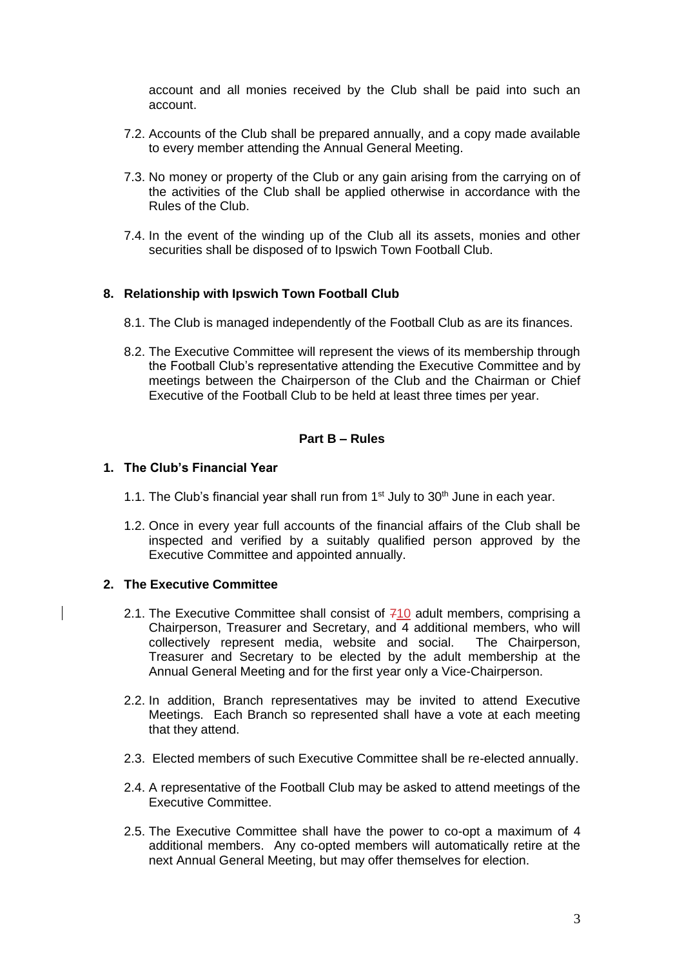account and all monies received by the Club shall be paid into such an account.

- 7.2. Accounts of the Club shall be prepared annually, and a copy made available to every member attending the Annual General Meeting.
- 7.3. No money or property of the Club or any gain arising from the carrying on of the activities of the Club shall be applied otherwise in accordance with the Rules of the Club.
- 7.4. In the event of the winding up of the Club all its assets, monies and other securities shall be disposed of to Ipswich Town Football Club.

### **8. Relationship with Ipswich Town Football Club**

- 8.1. The Club is managed independently of the Football Club as are its finances.
- 8.2. The Executive Committee will represent the views of its membership through the Football Club's representative attending the Executive Committee and by meetings between the Chairperson of the Club and the Chairman or Chief Executive of the Football Club to be held at least three times per year.

### **Part B – Rules**

#### **1. The Club's Financial Year**

- 1.1. The Club's financial year shall run from  $1<sup>st</sup>$  July to 30<sup>th</sup> June in each year.
- 1.2. Once in every year full accounts of the financial affairs of the Club shall be inspected and verified by a suitably qualified person approved by the Executive Committee and appointed annually.

## **2. The Executive Committee**

- 2.1. The Executive Committee shall consist of  $710$  adult members, comprising a Chairperson, Treasurer and Secretary, and  $\overline{4}$  additional members, who will collectively represent media, website and social. The Chairperson, Treasurer and Secretary to be elected by the adult membership at the Annual General Meeting and for the first year only a Vice-Chairperson.
- 2.2. In addition, Branch representatives may be invited to attend Executive Meetings. Each Branch so represented shall have a vote at each meeting that they attend.
- 2.3. Elected members of such Executive Committee shall be re-elected annually.
- 2.4. A representative of the Football Club may be asked to attend meetings of the Executive Committee.
- 2.5. The Executive Committee shall have the power to co-opt a maximum of 4 additional members. Any co-opted members will automatically retire at the next Annual General Meeting, but may offer themselves for election.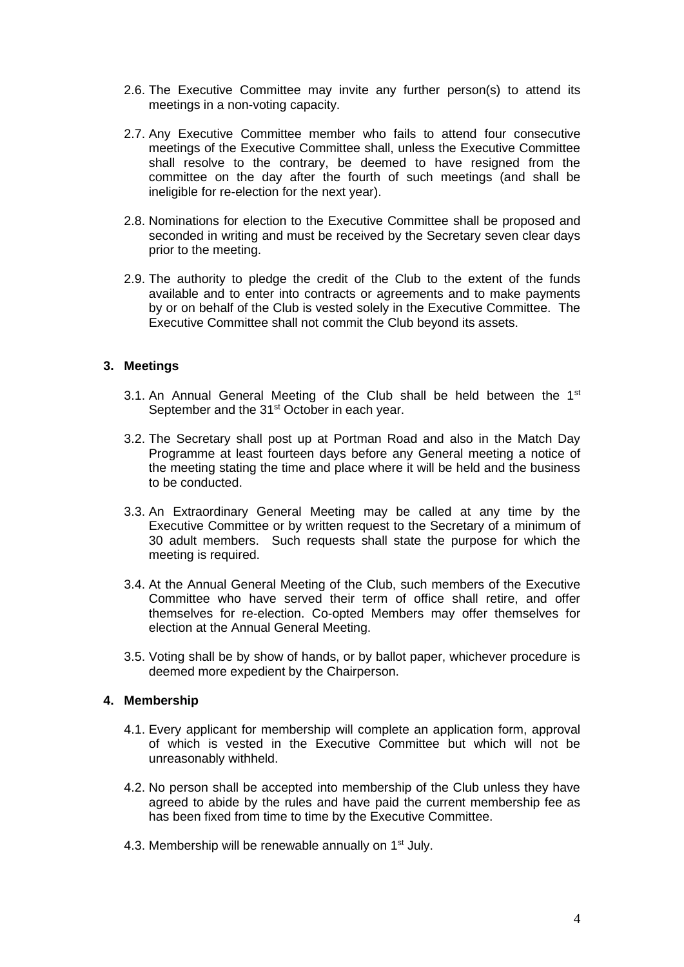- 2.6. The Executive Committee may invite any further person(s) to attend its meetings in a non-voting capacity.
- 2.7. Any Executive Committee member who fails to attend four consecutive meetings of the Executive Committee shall, unless the Executive Committee shall resolve to the contrary, be deemed to have resigned from the committee on the day after the fourth of such meetings (and shall be ineligible for re-election for the next year).
- 2.8. Nominations for election to the Executive Committee shall be proposed and seconded in writing and must be received by the Secretary seven clear days prior to the meeting.
- 2.9. The authority to pledge the credit of the Club to the extent of the funds available and to enter into contracts or agreements and to make payments by or on behalf of the Club is vested solely in the Executive Committee. The Executive Committee shall not commit the Club beyond its assets.

## **3. Meetings**

- 3.1. An Annual General Meeting of the Club shall be held between the 1<sup>st</sup> September and the 31<sup>st</sup> October in each year.
- 3.2. The Secretary shall post up at Portman Road and also in the Match Day Programme at least fourteen days before any General meeting a notice of the meeting stating the time and place where it will be held and the business to be conducted.
- 3.3. An Extraordinary General Meeting may be called at any time by the Executive Committee or by written request to the Secretary of a minimum of 30 adult members. Such requests shall state the purpose for which the meeting is required.
- 3.4. At the Annual General Meeting of the Club, such members of the Executive Committee who have served their term of office shall retire, and offer themselves for re-election. Co-opted Members may offer themselves for election at the Annual General Meeting.
- 3.5. Voting shall be by show of hands, or by ballot paper, whichever procedure is deemed more expedient by the Chairperson.

#### **4. Membership**

- 4.1. Every applicant for membership will complete an application form, approval of which is vested in the Executive Committee but which will not be unreasonably withheld.
- 4.2. No person shall be accepted into membership of the Club unless they have agreed to abide by the rules and have paid the current membership fee as has been fixed from time to time by the Executive Committee.
- 4.3. Membership will be renewable annually on 1<sup>st</sup> July.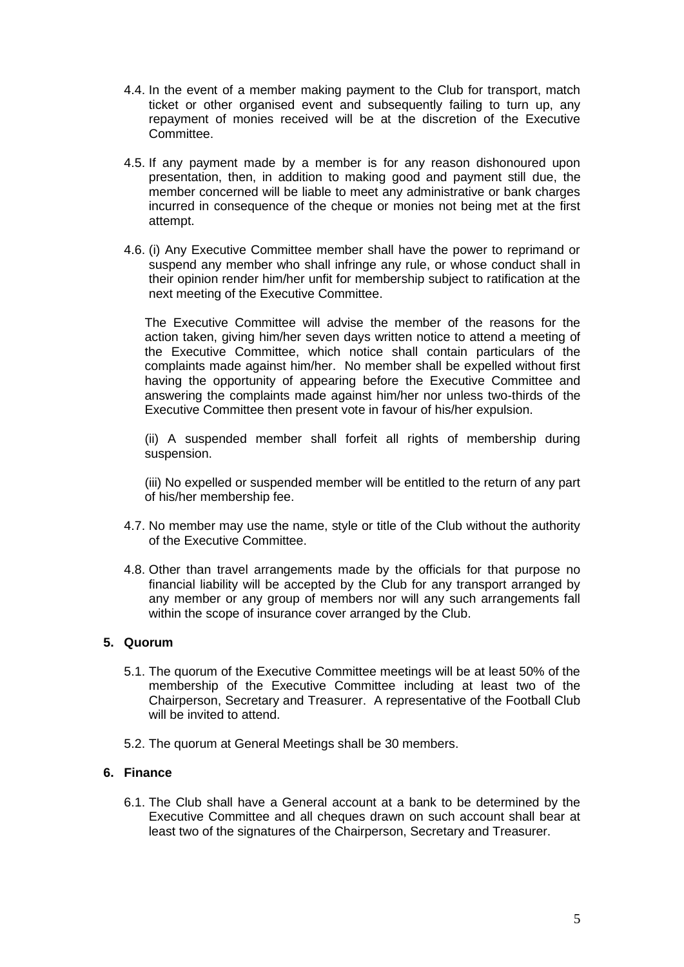- 4.4. In the event of a member making payment to the Club for transport, match ticket or other organised event and subsequently failing to turn up, any repayment of monies received will be at the discretion of the Executive Committee.
- 4.5. If any payment made by a member is for any reason dishonoured upon presentation, then, in addition to making good and payment still due, the member concerned will be liable to meet any administrative or bank charges incurred in consequence of the cheque or monies not being met at the first attempt.
- 4.6. (i) Any Executive Committee member shall have the power to reprimand or suspend any member who shall infringe any rule, or whose conduct shall in their opinion render him/her unfit for membership subject to ratification at the next meeting of the Executive Committee.

The Executive Committee will advise the member of the reasons for the action taken, giving him/her seven days written notice to attend a meeting of the Executive Committee, which notice shall contain particulars of the complaints made against him/her. No member shall be expelled without first having the opportunity of appearing before the Executive Committee and answering the complaints made against him/her nor unless two-thirds of the Executive Committee then present vote in favour of his/her expulsion.

(ii) A suspended member shall forfeit all rights of membership during suspension.

(iii) No expelled or suspended member will be entitled to the return of any part of his/her membership fee.

- 4.7. No member may use the name, style or title of the Club without the authority of the Executive Committee.
- 4.8. Other than travel arrangements made by the officials for that purpose no financial liability will be accepted by the Club for any transport arranged by any member or any group of members nor will any such arrangements fall within the scope of insurance cover arranged by the Club.

## **5. Quorum**

- 5.1. The quorum of the Executive Committee meetings will be at least 50% of the membership of the Executive Committee including at least two of the Chairperson, Secretary and Treasurer. A representative of the Football Club will be invited to attend.
- 5.2. The quorum at General Meetings shall be 30 members.

# **6. Finance**

6.1. The Club shall have a General account at a bank to be determined by the Executive Committee and all cheques drawn on such account shall bear at least two of the signatures of the Chairperson, Secretary and Treasurer.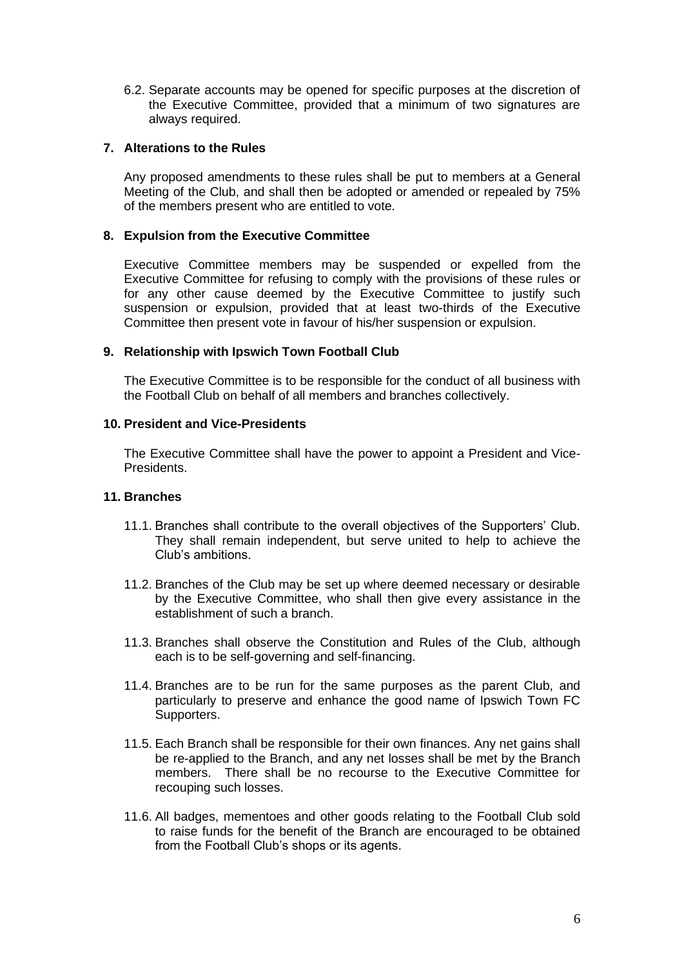6.2. Separate accounts may be opened for specific purposes at the discretion of the Executive Committee, provided that a minimum of two signatures are always required.

## **7. Alterations to the Rules**

Any proposed amendments to these rules shall be put to members at a General Meeting of the Club, and shall then be adopted or amended or repealed by 75% of the members present who are entitled to vote.

## **8. Expulsion from the Executive Committee**

Executive Committee members may be suspended or expelled from the Executive Committee for refusing to comply with the provisions of these rules or for any other cause deemed by the Executive Committee to justify such suspension or expulsion, provided that at least two-thirds of the Executive Committee then present vote in favour of his/her suspension or expulsion.

## **9. Relationship with Ipswich Town Football Club**

The Executive Committee is to be responsible for the conduct of all business with the Football Club on behalf of all members and branches collectively.

## **10. President and Vice-Presidents**

The Executive Committee shall have the power to appoint a President and Vice-Presidents.

## **11. Branches**

- 11.1. Branches shall contribute to the overall objectives of the Supporters' Club. They shall remain independent, but serve united to help to achieve the Club's ambitions.
- 11.2. Branches of the Club may be set up where deemed necessary or desirable by the Executive Committee, who shall then give every assistance in the establishment of such a branch.
- 11.3. Branches shall observe the Constitution and Rules of the Club, although each is to be self-governing and self-financing.
- 11.4. Branches are to be run for the same purposes as the parent Club, and particularly to preserve and enhance the good name of Ipswich Town FC Supporters.
- 11.5. Each Branch shall be responsible for their own finances. Any net gains shall be re-applied to the Branch, and any net losses shall be met by the Branch members. There shall be no recourse to the Executive Committee for recouping such losses.
- 11.6. All badges, mementoes and other goods relating to the Football Club sold to raise funds for the benefit of the Branch are encouraged to be obtained from the Football Club's shops or its agents.